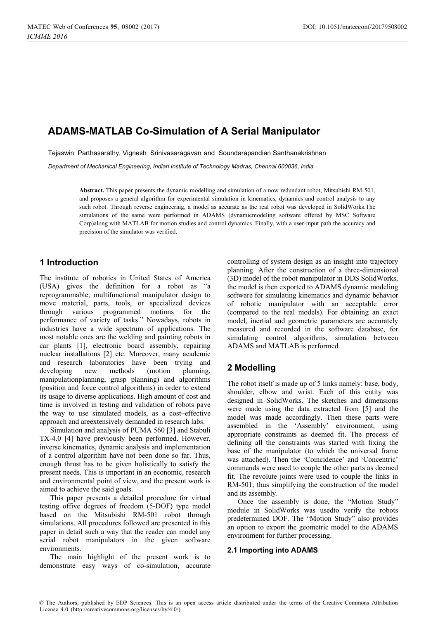# **ADAMS-MATLAB Co-Simulation of A Serial Manipulator**

Tejaswin Parthasarathy, Vignesh Srinivasaragavan and Soundarapandian Santhanakrishnan

*Department of Mechanical Engineering, Indian Institute of Technology Madras, Chennai 600036, India* 

**Abstract.** This paper presents the dynamic modelling and simulation of a now redundant robot, Mitsubishi RM-501, and proposes a general algorithm for experimental simulation in kinematics, dynamics and control analysis to any such robot. Through reverse engineering, a model as accurate as the real robot was developed in SolidWorks.The simulations of the same were performed in ADAMS (dynamicmodeling software offered by MSC Software Corp)along with MATLAB for motion studies and control dynamics. Finally, with a user-input path the accuracy and precision of the simulator was verified.

# **1 Introduction**

The institute of robotics in United States of America (USA) gives the definition for a robot as "a reprogrammable, multifunctional manipulator design to move material, parts, tools, or specialized devices through various programmed motions for the performance of variety of tasks." Nowadays, robots in industries have a wide spectrum of applications. The most notable ones are the welding and painting robots in car plants [1], electronic board assembly, repairing nuclear installations [2] etc. Moreover, many academic and research laboratories have been trying and developing new methods (motion planning, manipulationplanning, grasp planning) and algorithms (position and force control algorithms) in order to extend its usage to diverse applications. High amount of cost and time is involved in testing and validation of robots pave the way to use simulated models, as a cost–effective approach and areextensively demanded in research labs.

Simulation and analysis of PUMA 560 [3] and Stabuli TX-4.0 [4] have previously been performed. However, inverse kinematics, dynamic analysis and implementation of a control algorithm have not been done so far. Thus, enough thrust has to be given holistically to satisfy the present needs. This is important in an economic, research and environmental point of view, and the present work is aimed to achieve the said goals.

This paper presents a detailed procedure for virtual testing offive degrees of freedom (5-DOF) type model based on the Mitsubishi RM-501 robot through simulations. All procedures followed are presented in this paper in detail such a way that the reader can model any serial robot manipulators in the given software environments.

The main highlight of the present work is to demonstrate easy ways of co-simulation, accurate

controlling of system design as an insight into trajectory planning. After the construction of a three-dimensional (3D) model of the robot manipulator in DDS SolidWorks, the model is then exported to ADAMS dynamic modeling software for simulating kinematics and dynamic behavior of robotic manipulator with an acceptable error (compared to the real models). For obtaining an exact model, inertial and geometric parameters are accurately measured and recorded in the software database, for simulating control algorithms, simulation between ADAMS and MATLAB is performed.

# **2 Modelling**

The robot itself is made up of 5 links namely: base, body, shoulder, elbow and wrist. Each of this entity was designed in SolidWorks. The sketches and dimensions were made using the data extracted from [5] and the model was made accordingly. Then these parts were assembled in the 'Assembly' environment, using appropriate constraints as deemed fit. The process of defining all the constraints was started with fixing the base of the manipulator (to which the universal frame was attached). Then the 'Coincidence' and 'Concentric' commands were used to couple the other parts as deemed fit. The revolute joints were used to couple the links in RM-501, thus simplifying the construction of the model and its assembly.

Once the assembly is done, the "Motion Study" module in SolidWorks was usedto verify the robots predetermined DOF. The "Motion Study" also provides an option to export the geometric model to the ADAMS environment for further processing.

#### **2.1 Importing into ADAMS**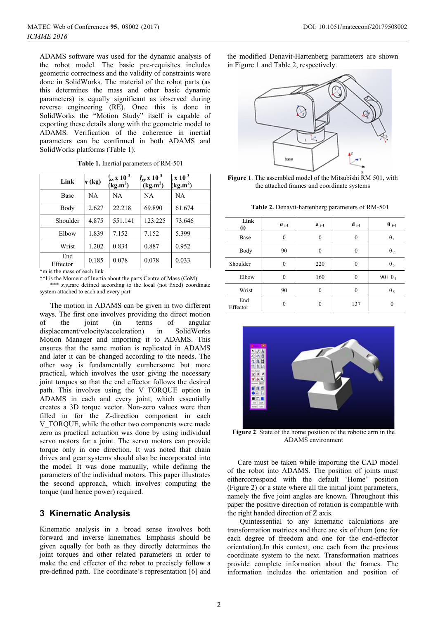ADAMS software was used for the dynamic analysis of the robot model. The basic pre-requisites includes geometric correctness and the validity of constraints were done in SolidWorks. The material of the robot parts (as this determines the mass and other basic dynamic parameters) is equally significant as observed during reverse engineering (RE). Once this is done in SolidWorks the "Motion Study" itself is capable of exporting these details along with the geometric model to ADAMS. Verification of the coherence in inertial parameters can be confirmed in both ADAMS and SolidWorks platforms (Table 1).

| Link            | n (kg) | $\int_{xx}$ x $10^{-3}$<br>kg.m <sup>2</sup> | $I_{yy}$ x $10^{-3}$<br>(kg.m <sup>2</sup> ) | $\, \times 10^{-3}$<br>$\text{(kg.m}^2)$ |
|-----------------|--------|----------------------------------------------|----------------------------------------------|------------------------------------------|
| Base            | NA     | NA                                           | NA                                           | NA                                       |
| Body            | 2.627  | 22.218                                       | 69.890                                       | 61.674                                   |
| Shoulder        | 4.875  | 551.141                                      | 123.225                                      | 73.646                                   |
| Elbow           | 1.839  | 7.152                                        | 7.152                                        | 5.399                                    |
| Wrist           | 1.202  | 0.834                                        | 0.887                                        | 0.952                                    |
| End<br>Effector | 0.185  | 0.078                                        | 0.078                                        | 0.033                                    |

**Table 1.** Inertial parameters of RM-501

\*m is the mass of each link

\*\*I is the Moment of Inertia about the parts Centre of Mass (CoM)

\*\*\* *x,y,zare* defined according to the local (not fixed) coordinate system attached to each and every part

The motion in ADAMS can be given in two different ways. The first one involves providing the direct motion of the joint (in terms of angular displacement/velocity/acceleration) in SolidWorks Motion Manager and importing it to ADAMS. This ensures that the same motion is replicated in ADAMS and later it can be changed according to the needs. The other way is fundamentally cumbersome but more practical, which involves the user giving the necessary joint torques so that the end effector follows the desired path. This involves using the V\_TORQUE option in ADAMS in each and every joint, which essentially creates a 3D torque vector. Non-zero values were then filled in for the Z-direction component in each V\_TORQUE, while the other two components were made zero as practical actuation was done by using individual servo motors for a joint. The servo motors can provide torque only in one direction. It was noted that chain drives and gear systems should also be incorporated into the model. It was done manually, while defining the parameters of the individual motors. This paper illustrates the second approach, which involves computing the torque (and hence power) required.

# **3 Kinematic Analysis**

Kinematic analysis in a broad sense involves both forward and inverse kinematics. Emphasis should be given equally for both as they directly determines the joint torques and other related parameters in order to make the end effector of the robot to precisely follow a pre-defined path. The coordinate's representation [6] and

the modified Denavit-Hartenberg parameters are shown in Figure 1 and Table 2, respectively.



**Figure 1**. The assembled model of the Mitsubishi RM 501, with the attached frames and coordinate systems

**Table 2.** Denavit-hartenberg parameters of RM-501

| Link<br>(i)     | $\alpha_{i-1}$ | $a_{i-1}$ | $d_{i-1}$    | $\theta_{i+1}$  |
|-----------------|----------------|-----------|--------------|-----------------|
| Base            | $\mathbf{0}$   | $\theta$  | $\mathbf{0}$ | $\theta_1$      |
| Body            | 90             | $\theta$  | $\theta$     | $\theta_2$      |
| Shoulder        | $\mathbf{0}$   | 220       | $\mathbf{0}$ | $\theta_3$      |
| Elbow           | $\mathbf{0}$   | 160       | $\mathbf{0}$ | $90 + \theta_4$ |
| Wrist           | 90             | $\theta$  | $\mathbf{0}$ | $\theta$ 5      |
| End<br>Effector | $\mathbf{0}$   | $\theta$  | 137          | 0               |



**Figure 2**. State of the home position of the robotic arm in the ADAMS environment

Care must be taken while importing the CAD model of the robot into ADAMS. The position of joints must eithercorrespond with the default 'Home' position (Figure 2) or a state where all the initial joint parameters, namely the five joint angles are known. Throughout this paper the positive direction of rotation is compatible with the right handed direction of Z axis.

 Quintessential to any kinematic calculations are transformation matrices and there are six of them (one for each degree of freedom and one for the end-effector orientation).In this context, one each from the previous coordinate system to the next. Transformation matrices provide complete information about the frames. The information includes the orientation and position of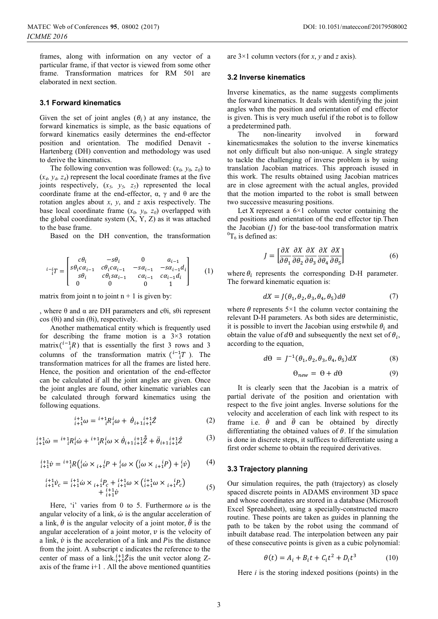frames, along with information on any vector of a particular frame, if that vector is viewed from some other frame. Transformation matrices for RM 501 are elaborated in next section.

#### **3.1 Forward kinematics**

Given the set of joint angles  $(\theta_i)$  at any instance, the forward kinematics is simple, as the basic equations of forward kinematics easily determines the end-effector position and orientation. The modified Denavit - Hartenberg (DH) convention and methodology was used to derive the kinematics.

The following convention was followed:  $(x_0, y_0, z_0)$  to (*x4, y4, z4*) represent the local coordinate frames at the five joints respectively, (*x5, y5, z5*) represented the local coordinate frame at the end-effector, α, γ and θ are the rotation angles about *x*, *y*, and *z* axis respectively. The base local coordinate frame  $(x_0, y_0, z_0)$  overlapped with the global coordinate system  $(X, Y, Z)$  as it was attached to the base frame.

Based on the DH convention, the transformation

$$
{}^{i-i}_{i}T = \begin{bmatrix} c\theta_i & -s\theta_i & 0 & a_{i-1} \\ s\theta_i c\alpha_{i-1} & c\theta_i c\alpha_{i-1} & -s\alpha_{i-1} & -s\alpha_{i-1}d_i \\ s\theta_i & c\theta_i s\alpha_{i-1} & c\alpha_{i-1} & c\alpha_{i-1}d_i \\ 0 & 0 & 0 & 1 \end{bmatrix}
$$
 (1)

matrix from joint n to joint  $n + 1$  is given by:

, where θ and α are DH parameters and cθi, sθi represent cos (θi) and sin (θi), respectively.

Another mathematical entity which is frequently used for describing the frame motion is a  $3\times3$  rotation matrix  $\binom{i-1}{i}$  that is essentially the first 3 rows and 3 columns of the transformation matrix  $\binom{i-1}{i}$ . The transformation matrices for all the frames are listed here. Hence, the position and orientation of the end-effector can be calculated if all the joint angles are given. Once the joint angles are found, other kinematic variables can be calculated through forward kinematics using the following equations.

$$
{}_{i+1}^{i+1}\omega = {}^{i+1}{}_{i}R{}_{i}^{i}\omega + \dot{\theta}_{i+1}{}_{i+1}^{i+1}\hat{Z}
$$
 (2)

$$
{}_{i+1}^{i+1}\dot{\omega} = {}^{i+1}_{i}R_{i}^{i}\dot{\omega} + {}^{i+1}_{i}R_{i}^{i}\omega \times \dot{\theta}_{i+1}\dot{z}^{i+1}\hat{Z} + \ddot{\theta}_{i+1}\dot{z}^{i+1}\hat{Z}
$$
 (3)

$$
{}_{i+1}^{i+1} \dot{v} = {}^{i+1}{}_{i}R \left( {}_{i}^{i} \dot{\omega} \times {}_{i+1}^{i} P + {}_{i}^{i} \omega \times \left( {}_{i}^{i} \omega \times {}_{i+1}^{i} P \right) + {}_{i}^{i} \dot{v} \right)
$$
 (4)

$$
\begin{aligned} \n\iota_{i+1}^{i+1} \dot{v}_c &= \n\iota_{i+1}^{i+1} \dot{\omega} \times \n\iota_{i+1}^{i+1} P_c + \n\iota_{i+1}^{i+1} \dot{\omega} \times \n\iota_{i+1}^{i+1} \dot{v} \\
&\quad + \n\iota_{i+1}^{i+1} \dot{v}\n\end{aligned} \tag{5}
$$

Here, 'i' varies from 0 to 5. Furthermore  $\omega$  is the angular velocity of a link,  $\dot{\omega}$  is the angular acceleration of a link,  $\dot{\theta}$  is the angular velocity of a joint motor,  $\ddot{\theta}$  is the ֧֖֖֖֧֚֚֝֝֝֝֝֝֝֬<u>֘</u> angular acceleration of a joint motor,  $\nu$  is the velocity of a link,  $\dot{v}$  is the acceleration of a link and  $P$  is the distance from the joint. A subscript c indicates the reference to the center of mass of a link.  $i+1\overline{2}$  is the unit vector along Zaxis of the frame  $i+1$ . All the above mentioned quantities

are 3×1 column vectors (for *x*, *y* and *z* axis).

#### **3.2 Inverse kinematics**

Inverse kinematics, as the name suggests compliments the forward kinematics. It deals with identifying the joint angles when the position and orientation of end effector is given. This is very much useful if the robot is to follow a predetermined path.

The non-linearity involved in forward kinematicsmakes the solution to the inverse kinematics not only difficult but also non-unique. A single strategy to tackle the challenging of inverse problem is by using translation Jacobian matrices. This approach isused in this work. The results obtained using Jacobian matrices are in close agreement with the actual angles, provided that the motion imparted to the robot is small between two successive measuring positions.

Let X represent a  $6\times1$  column vector containing the end positions and orientation of the end effector tip*.*Then the Jacobian  $(I)$  for the base-tool transformation matrix  ${}^{0}T_{6}$  is defined as:

$$
J = \left[\frac{\partial X}{\partial \theta_1} \frac{\partial X}{\partial \theta_2} \frac{\partial X}{\partial \theta_3} \frac{\partial X}{\partial \theta_4} \frac{\partial X}{\partial \theta_5}\right]
$$
(6)

where  $\theta_i$  represents the corresponding D-H parameter. The forward kinematic equation is:

$$
dX = J(\theta_1, \theta_2, \theta_3, \theta_4, \theta_5) d\theta \tag{7}
$$

where  $\theta$  represents 5×1 the column vector containing the relevant D-H parameters. As both sides are deterministic, it is possible to invert the Jacobian using erstwhile  $\theta_i$  and obtain the value of  $d\theta$  and subsequently the next set of  $\theta_i$ , according to the equation,

$$
d\Theta = J^{-1}(\theta_1, \theta_2, \theta_3, \theta_4, \theta_5)dX \tag{8}
$$

$$
\Theta_{new} = \Theta + d\Theta \tag{9}
$$

It is clearly seen that the Jacobian is a matrix of partial derivate of the position and orientation with respect to the five joint angles. Inverse solutions for the velocity and acceleration of each link with respect to its frame i.e.  $\dot{\theta}$  and  $\ddot{\theta}$  can be obtained by directly differentiating the obtained values of  $\theta$ . If the simulation is done in discrete steps, it suffices to differentiate using a first order scheme to obtain the required derivatives.

#### **3.3 Trajectory planning**

Our simulation requires, the path (trajectory) as closely spaced discrete points in ADAMS environment 3D space and whose coordinates are stored in a database (Microsoft Excel Spreadsheet), using a specially-constructed macro routine. These points are taken as guides in planning the path to be taken by the robot using the command of inbuilt database read. The interpolation between any pair of these consecutive points is given as a cubic polynomial:

$$
\theta(t) = A_i + B_i t + C_i t^2 + D_i t^3 \tag{10}
$$

Here *i* is the storing indexed positions (points) in the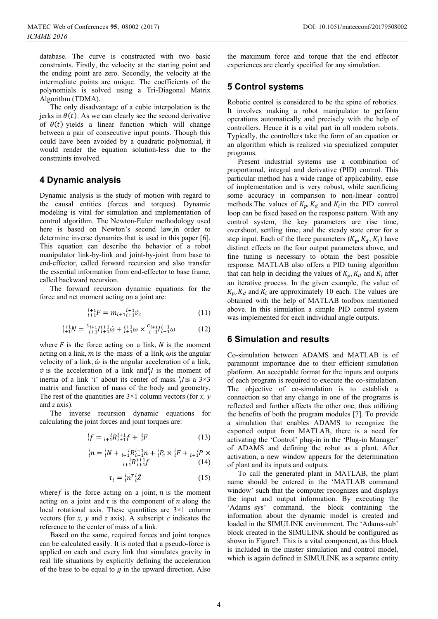database. The curve is constructed with two basic constraints. Firstly, the velocity at the starting point and the ending point are zero. Secondly, the velocity at the intermediate points are unique. The coefficients of the polynomials is solved using a Tri-Diagonal Matrix Algorithm (TDMA).

The only disadvantage of a cubic interpolation is the jerks in  $\theta(t)$ . As we can clearly see the second derivative of  $\theta(t)$  yields a linear function which will change between a pair of consecutive input points. Though this could have been avoided by a quadratic polynomial, it would render the equation solution-less due to the constraints involved.

### **4 Dynamic analysis**

Dynamic analysis is the study of motion with regard to the causal entities (forces and torques). Dynamic modeling is vital for simulation and implementation of control algorithm. The Newton-Euler methodology used here is based on Newton's second law,in order to determine inverse dynamics that is used in this paper [6]. This equation can describe the behavior of a robot manipulator link-by-link and joint-by-joint from base to end-effector, called forward recursion and also transfer the essential information from end-effector to base frame, called backward recursion.

The forward recursion dynamic equations for the force and net moment acting on a joint are:

$$
_{i+1}^{i+1}F = m_{i+1}^{i+1}\dot{v}_c \tag{11}
$$

$$
_{i+1}^{i+1}N = {c_{i+1} \atop i+1}^{i+1} i_{i+1}^{i+1} \dot{\omega} + {i+1 \atop i+1} \omega \times {c_{i+1} \atop i+1}^{i+1} i_{i+1}^{i+1} \omega \tag{12}
$$

where  $F$  is the force acting on a link,  $N$  is the moment acting on a link,  $m$  is the mass of a link,  $\omega$  is the angular velocity of a link,  $\dot{\omega}$  is the angular acceleration of a link,  $\dot{v}$  is the acceleration of a link and  $_i^c$  is the moment of inertia of a link 'i' about its center of mass.  $i<sub>i</sub>$  lis a 3×3 matrix and function of mass of the body and geometry. The rest of the quantities are 3×1 column vectors (for *x, y* and *z* axis).

The inverse recursion dynamic equations for calculating the joint forces and joint torques are:

$$
{}^{i}_{i}f = {}^{i}_{i+1}R^{i+1}_{i+1}f + {}^{i}_{i}F
$$
 (13)

$$
{}_{i}^{i}n = {}_{i}^{i}N + \underset{\substack{i+1\\i+1\\i+1}}{}^{i}R_{i+1}^{i+1}n + {}_{i}^{i}P_{c} \times {}_{i}^{i}F + \underset{\substack{i+1\\i+1}}{}^{i}P \times
$$
\n(14)

$$
\tau_i = \frac{i}{i} n^T \frac{i}{i} \hat{Z} \tag{15}
$$

where  $f$  is the force acting on a joint,  $n$  is the moment acting on a joint and  $\tau$  is the component of *n* along the local rotational axis. These quantities are  $3\times1$  column vectors (for *x, y* and *z* axis). A subscript *c* indicates the reference to the center of mass of a link.

Based on the same, required forces and joint torques can be calculated easily. It is noted that a pseudo-force is applied on each and every link that simulates gravity in real life situations by explicitly defining the acceleration of the base to be equal to  $q$  in the upward direction. Also

the maximum force and torque that the end effector experiences are clearly specified for any simulation.

# **5 Control systems**

Robotic control is considered to be the spine of robotics. It involves making a robot manipulator to perform operations automatically and precisely with the help of controllers. Hence it is a vital part in all modern robots. Typically, the controllers take the form of an equation or an algorithm which is realized via specialized computer programs.

Present industrial systems use a combination of proportional, integral and derivative (PID) control. This particular method has a wide range of applicability, ease of implementation and is very robust, while sacrificing some accuracy in comparison to non-linear control methods. The values of  $K_p$ ,  $K_d$  and  $K_i$  in the PID control loop can be fixed based on the response pattern. With any control system, the key parameters are rise time, overshoot, settling time, and the steady state error for a step input. Each of the three parameters  $(K_n, K_d, K_i)$  have distinct effects on the four output parameters above, and fine tuning is necessary to obtain the best possible response. MATLAB also offers a PID tuning algorithm that can help in deciding the values of  $K_p$ ,  $K_d$  and  $K_i$  after an iterative process. In the given example, the value of  $K_p$ ,  $K_d$  and  $K_i$  are approximately 10 each. The values are obtained with the help of MATLAB toolbox mentioned above. In this simulation a simple PID control system was implemented for each individual angle outputs.

### **6 Simulation and results**

Co-simulation between ADAMS and MATLAB is of paramount importance due to their efficient simulation platform. An acceptable format for the inputs and outputs of each program is required to execute the co-simulation. The objective of co-simulation is to establish a connection so that any change in one of the programs is reflected and further affects the other one, thus utilizing the benefits of both the program modules [7]. To provide a simulation that enables ADAMS to recognize the exported output from MATLAB, there is a need for activating the 'Control' plug-in in the 'Plug-in Manager' of ADAMS and defining the robot as a plant. After activation, a new window appears for the determination of plant and its inputs and outputs.

To call the generated plant in MATLAB, the plant name should be entered in the 'MATLAB command window' such that the computer recognizes and displays the input and output information. By executing the 'Adams\_sys' command, the block containing the information about the dynamic model is created and loaded in the SIMULINK environment. The 'Adams-sub' block created in the SIMULINK should be configured as shown in Figure3. This is a vital component, as this block is included in the master simulation and control model, which is again defined in SIMULINK as a separate entity.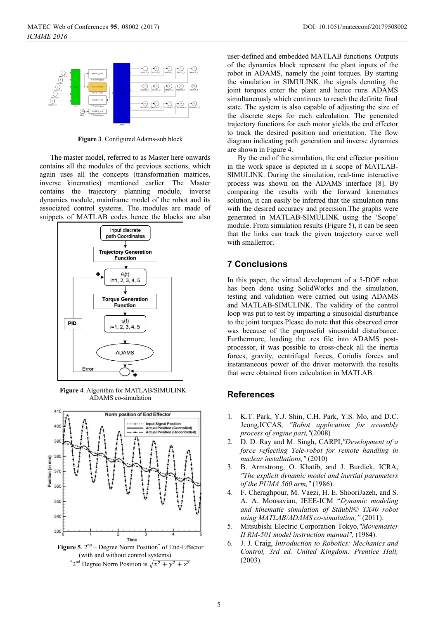**Figure 3**. Configured Adams-sub block

The master model, referred to as Master here onwards contains all the modules of the previous sections, which again uses all the concepts (transformation matrices, inverse kinematics) mentioned earlier. The Master contains the trajectory planning module, inverse dynamics module, mainframe model of the robot and its associated control systems. The modules are made of snippets of MATLAB codes hence the blocks are also



**Figure 4**. Algorithm for MATLAB/SIMULINK – ADAMS co-simulation



<sup>\*</sup>2<sup>nd</sup> Degree Norm Position is  $\sqrt{x^2 + y^2 + z^2}$ 

user-defined and embedded MATLAB functions. Outputs of the dynamics block represent the plant inputs of the robot in ADAMS, namely the joint torques. By starting the simulation in SIMULINK, the signals denoting the joint torques enter the plant and hence runs ADAMS simultaneously which continues to reach the definite final state. The system is also capable of adjusting the size of the discrete steps for each calculation. The generated trajectory functions for each motor yields the end effector to track the desired position and orientation. The flow diagram indicating path generation and inverse dynamics are shown in Figure 4.

By the end of the simulation, the end effector position in the work space is depicted in a scope of MATLAB-SIMULINK. During the simulation, real-time interactive process was shown on the ADAMS interface [8]. By comparing the results with the forward kinematics solution, it can easily be inferred that the simulation runs with the desired accuracy and precision.The graphs were generated in MATLAB-SIMULINK using the 'Scope' module. From simulation results (Figure 5), it can be seen that the links can track the given trajectory curve well with smallerror.

## **7 Conclusions**

In this paper, the virtual development of a 5-DOF robot has been done using SolidWorks and the simulation, testing and validation were carried out using ADAMS and MATLAB-SIMULINK. The validity of the control loop was put to test by imparting a sinusoidal disturbance to the joint torques.Please do note that this observed error was because of the purposeful sinusoidal disturbance. Furthermore, loading the .res file into ADAMS postprocessor, it was possible to cross-check all the inertia forces, gravity, centrifugal forces, Coriolis forces and instantaneous power of the driver motorwith the results that were obtained from calculation in MATLAB.

#### **References**

- 1. K.T. Park, Y.J. Shin, C.H. Park, Y.S. Mo, and D.C. Jeong,ICCAS, *"Robot application for assembly process of engine part,"*(2008)
- 2. D. D. Ray and M. Singh, CARPI,*"Development of a force reflecting Tele-robot for remote handling in nuclear installations,"* (2010)
- 3. B. Armstrong, O. Khatib, and J. Burdick, ICRA, *"The explicit dynamic model and inertial parameters of the PUMA 560 arm,"* (1986).
- 4. F. Cheraghpour, M. Vaezi, H. E. ShooriJazeh, and S. A. A. Moosavian, IEEE-ICM "*Dynamic modeling and kinematic simulation of Stäubli© TX40 robot using MATLAB/ADAMS co-simulation,"* (2011).
- 5. Mitsubishi Electric Corporation Tokyo,*"Movemaster II RM-501 model instruction manual",* (1984).
- 6. J. J. Craig, *Introduction to Robotics: Mechanics and Control, 3rd ed. United Kingdom: Prentice Hall,* (2003).